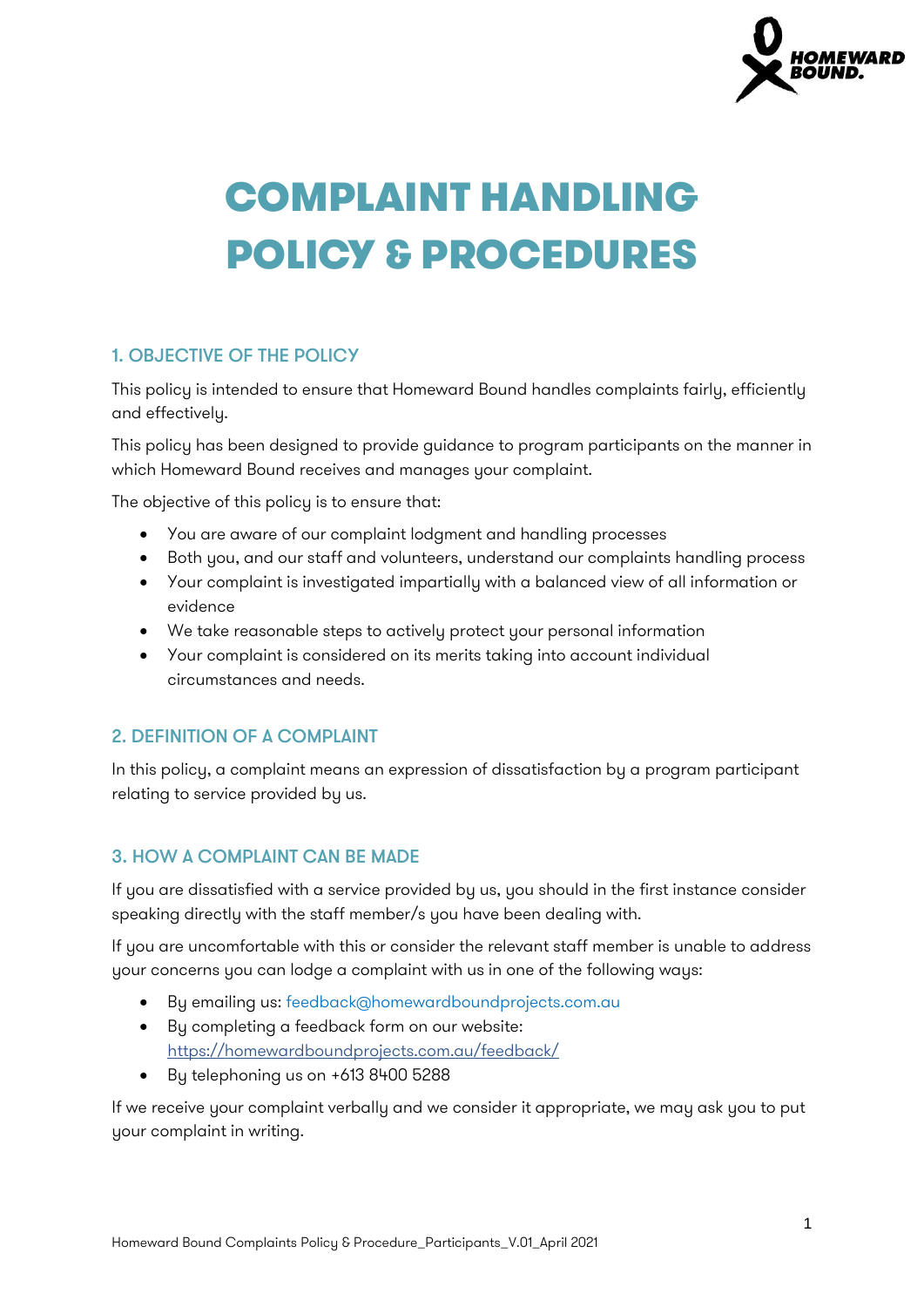

# COMPLAINT HANDLING POLICY & PROCEDURES

## 1. OBJECTIVE OF THE POLICY

This policy is intended to ensure that Homeward Bound handles complaints fairly, efficiently and effectively.

This policy has been designed to provide guidance to program participants on the manner in which Homeward Bound receives and manages your complaint.

The objective of this policy is to ensure that:

- You are aware of our complaint lodgment and handling processes
- Both you, and our staff and volunteers, understand our complaints handling process
- Your complaint is investigated impartially with a balanced view of all information or evidence
- We take reasonable steps to actively protect your personal information
- Your complaint is considered on its merits taking into account individual circumstances and needs.

## 2. DEFINITION OF A COMPLAINT

In this policy, a complaint means an expression of dissatisfaction by a program participant relating to service provided by us.

## 3. HOW A COMPLAINT CAN BE MADE

If you are dissatisfied with a service provided by us, you should in the first instance consider speaking directly with the staff member/s you have been dealing with.

If you are uncomfortable with this or consider the relevant staff member is unable to address your concerns you can lodge a complaint with us in one of the following ways:

- By emailing us: feedback@homewardboundprojects.com.au
- By completing a feedback form on our website: <https://homewardboundprojects.com.au/feedback/>
- By telephoning us on +613 8400 5288

If we receive your complaint verbally and we consider it appropriate, we may ask you to put your complaint in writing.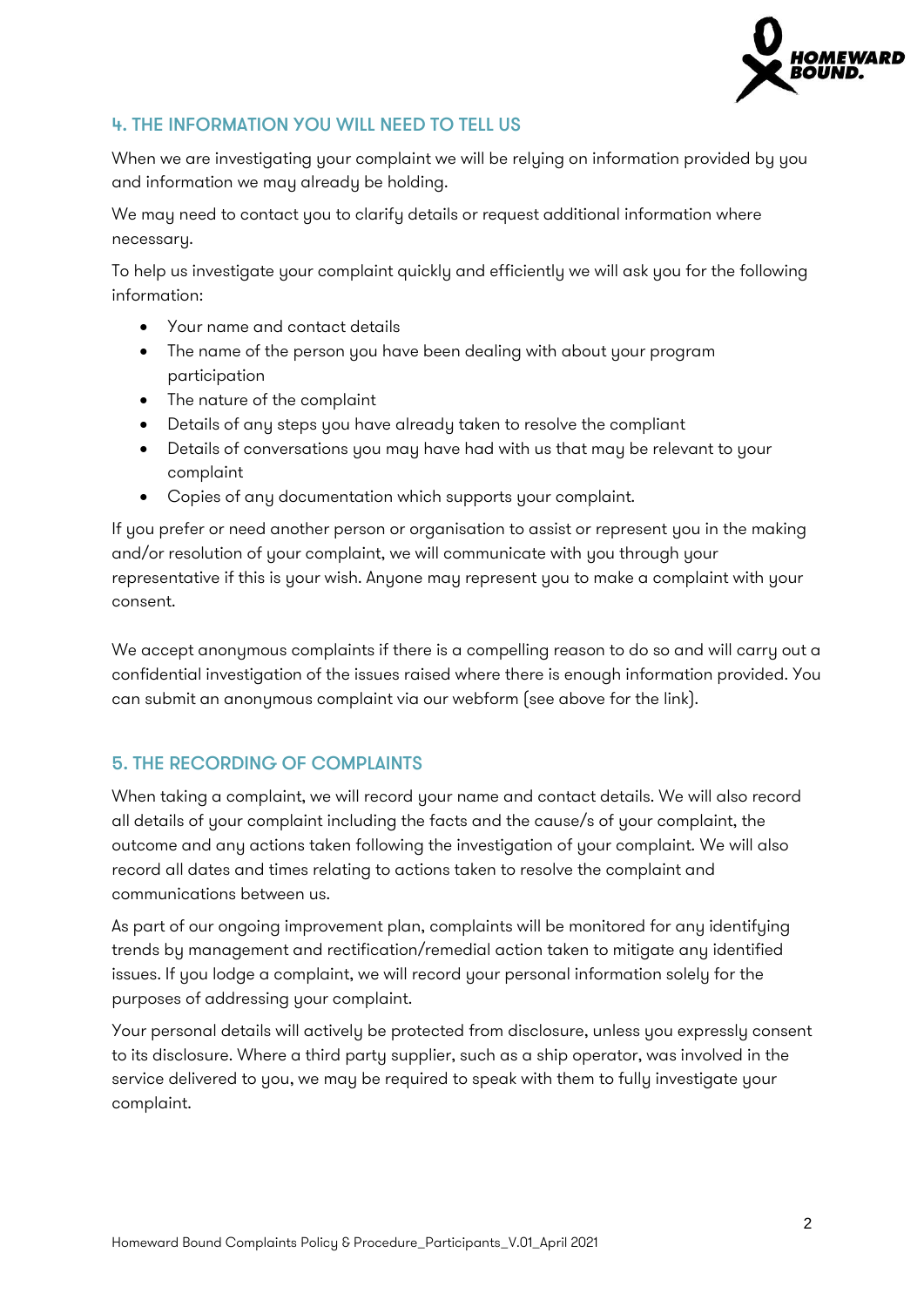

# 4. THE INFORMATION YOU WILL NEED TO TELL US

When we are investigating your complaint we will be relying on information provided by you and information we may already be holding.

We may need to contact you to clarify details or request additional information where necessary.

To help us investigate your complaint quickly and efficiently we will ask you for the following information:

- Your name and contact details
- The name of the person you have been dealing with about your program participation
- The nature of the complaint
- Details of any steps you have already taken to resolve the compliant
- Details of conversations you may have had with us that may be relevant to your complaint
- Copies of any documentation which supports your complaint.

If you prefer or need another person or organisation to assist or represent you in the making and/or resolution of your complaint, we will communicate with you through your representative if this is your wish. Anyone may represent you to make a complaint with your consent.

We accept anonymous complaints if there is a compelling reason to do so and will carry out a confidential investigation of the issues raised where there is enough information provided. You can submit an anonymous complaint via our webform (see above for the link).

## 5. THE RECORDING OF COMPLAINTS

When taking a complaint, we will record your name and contact details. We will also record all details of your complaint including the facts and the cause/s of your complaint, the outcome and any actions taken following the investigation of your complaint. We will also record all dates and times relating to actions taken to resolve the complaint and communications between us.

As part of our ongoing improvement plan, complaints will be monitored for any identifying trends by management and rectification/remedial action taken to mitigate any identified issues. If you lodge a complaint, we will record your personal information solely for the purposes of addressing your complaint.

Your personal details will actively be protected from disclosure, unless you expressly consent to its disclosure. Where a third party supplier, such as a ship operator, was involved in the service delivered to you, we may be required to speak with them to fully investigate your complaint.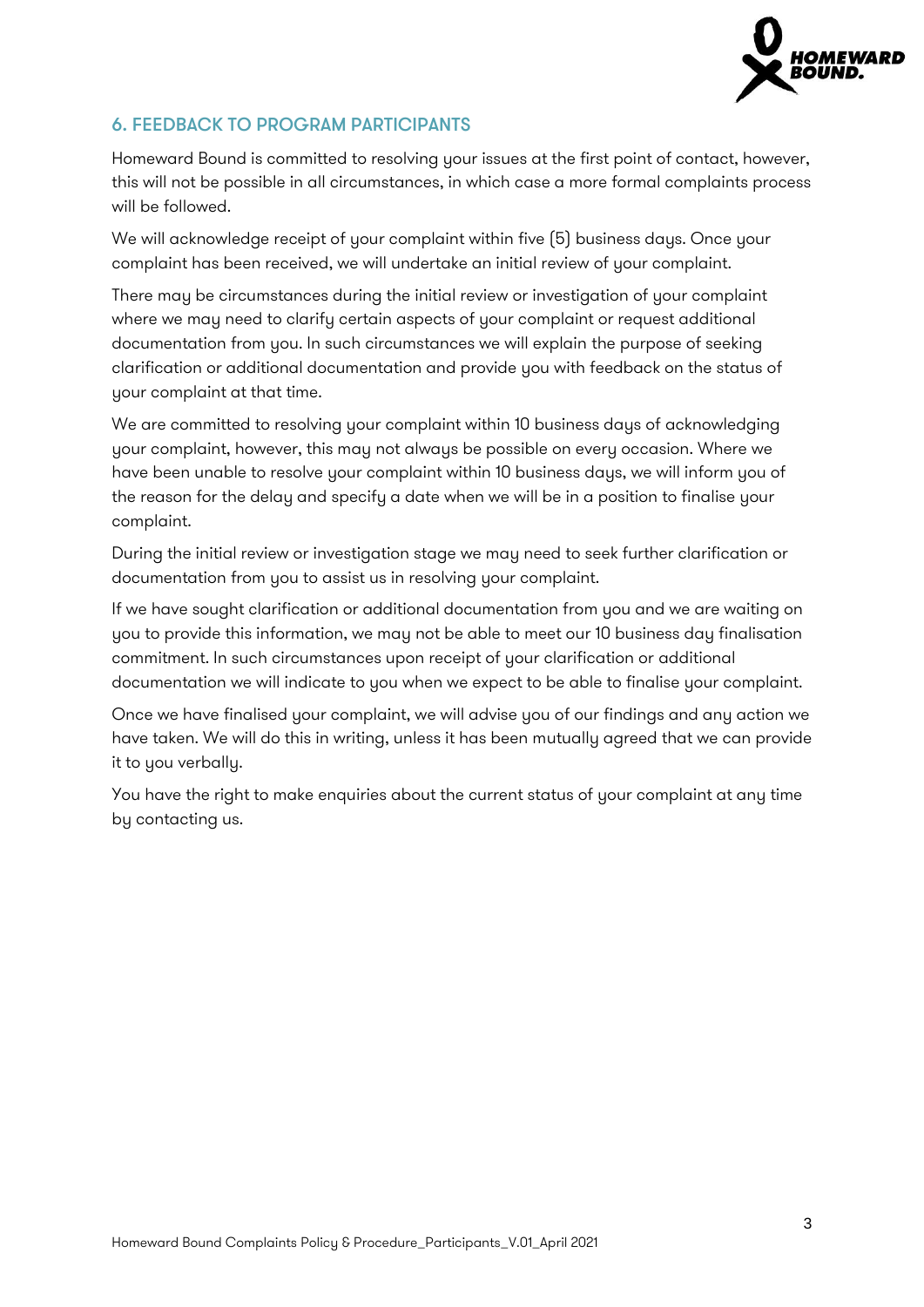

## 6. FEEDBACK TO PROGRAM PARTICIPANTS

Homeward Bound is committed to resolving your issues at the first point of contact, however, this will not be possible in all circumstances, in which case a more formal complaints process will be followed.

We will acknowledge receipt of your complaint within five (5) business days. Once your complaint has been received, we will undertake an initial review of your complaint.

There may be circumstances during the initial review or investigation of your complaint where we may need to clarify certain aspects of your complaint or request additional documentation from you. In such circumstances we will explain the purpose of seeking clarification or additional documentation and provide you with feedback on the status of your complaint at that time.

We are committed to resolving your complaint within 10 business days of acknowledging your complaint, however, this may not always be possible on every occasion. Where we have been unable to resolve your complaint within 10 business days, we will inform you of the reason for the delay and specify a date when we will be in a position to finalise your complaint.

During the initial review or investigation stage we may need to seek further clarification or documentation from you to assist us in resolving your complaint.

If we have sought clarification or additional documentation from you and we are waiting on you to provide this information, we may not be able to meet our 10 business day finalisation commitment. In such circumstances upon receipt of your clarification or additional documentation we will indicate to you when we expect to be able to finalise your complaint.

Once we have finalised your complaint, we will advise you of our findings and any action we have taken. We will do this in writing, unless it has been mutually agreed that we can provide it to you verbally.

You have the right to make enquiries about the current status of your complaint at any time by contacting us.